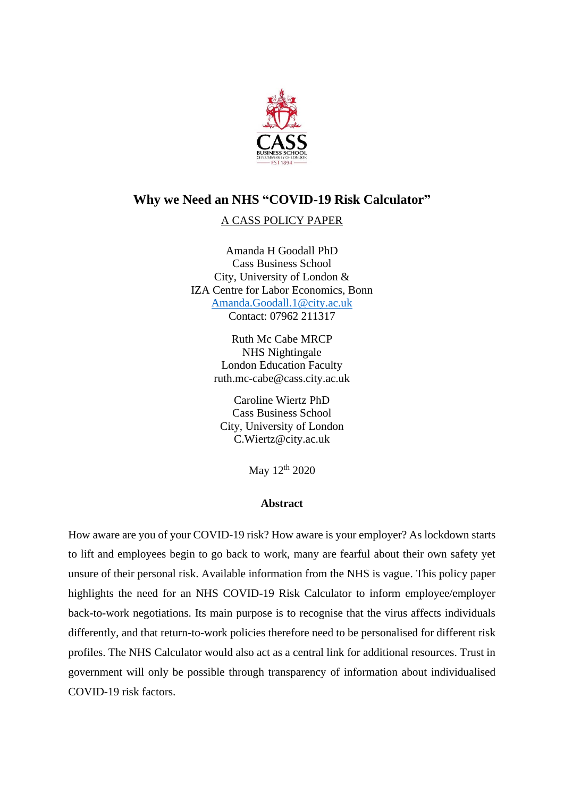

# **Why we Need an NHS "COVID-19 Risk Calculator"**

## A CASS POLICY PAPER

Amanda H Goodall PhD Cass Business School City, University of London & IZA Centre for Labor Economics, Bonn [Amanda.Goodall.1@city.ac.uk](mailto:Amanda.Goodall.1@city.ac.uk) Contact: 07962 211317

> Ruth Mc Cabe MRCP NHS Nightingale London Education Faculty ruth.mc-cabe@cass.city.ac.uk

Caroline Wiertz PhD Cass Business School City, University of London C.Wiertz@city.ac.uk

May 12<sup>th</sup> 2020

#### **Abstract**

How aware are you of your COVID-19 risk? How aware is your employer? As lockdown starts to lift and employees begin to go back to work, many are fearful about their own safety yet unsure of their personal risk. Available information from the NHS is vague. This policy paper highlights the need for an NHS COVID-19 Risk Calculator to inform employee/employer back-to-work negotiations. Its main purpose is to recognise that the virus affects individuals differently, and that return-to-work policies therefore need to be personalised for different risk profiles. The NHS Calculator would also act as a central link for additional resources. Trust in government will only be possible through transparency of information about individualised COVID-19 risk factors.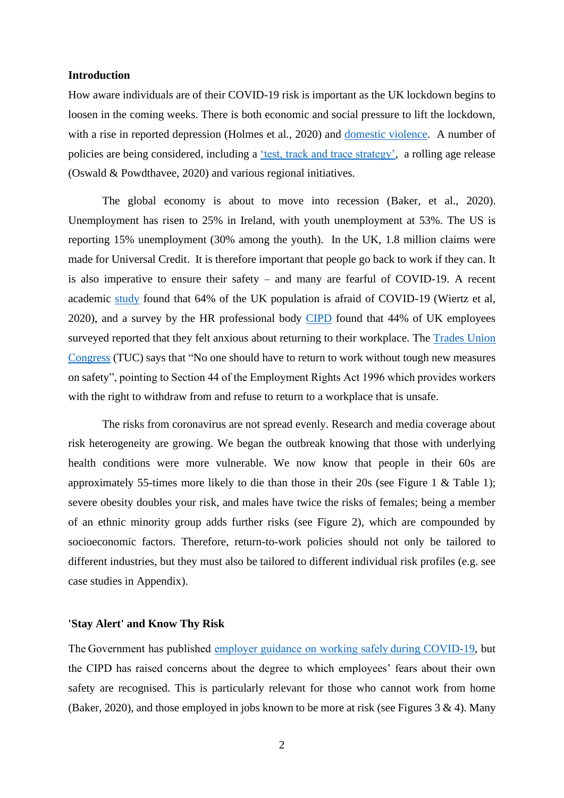#### **Introduction**

How aware individuals are of their COVID-19 risk is important as the UK lockdown begins to loosen in the coming weeks. There is both economic and social pressure to lift the lockdown, with a rise in reported depression (Holmes et al., 2020) and [domestic violence.](https://www.theguardian.com/society/2020/apr/24/charges-and-cautions-for-domestic-violence-rise-by-24-in-london) A number of policies are being considered, including a ['test, track and trace strategy',](https://www.bbc.co.uk/news/health-52475688) a rolling age release (Oswald & Powdthavee, 2020) and various regional initiatives.

The global economy is about to move into recession (Baker, et al., 2020). Unemployment has risen to 25% in Ireland, with youth unemployment at 53%. The US is reporting 15% unemployment (30% among the youth). In the UK, 1.8 million claims were made for Universal Credit. It is therefore important that people go back to work if they can. It is also imperative to ensure their safety – and many are fearful of COVID-19. A recent academic [study](https://papers.ssrn.com/sol3/papers.cfm?abstract_id=3589199) found that 64% of the UK population is afraid of COVID-19 (Wiertz et al, 2020), and a survey by the HR professional body [CIPD](https://www.cipd.co.uk/about/media/press/anxious-returning-workplace) found that 44% of UK employees surveyed reported that they felt anxious about returning to their workplace. The [Trades Union](https://www.tuc.org.uk/resource/covid-19-coronavirus-guidance-unions-updated-16-april)  [Congress](https://www.tuc.org.uk/resource/covid-19-coronavirus-guidance-unions-updated-16-april) (TUC) says that "No one should have to return to work without tough new measures on safety", pointing to Section 44 of the Employment Rights Act 1996 which provides workers with the right to withdraw from and refuse to return to a workplace that is unsafe.

The risks from coronavirus are not spread evenly. Research and media coverage about risk heterogeneity are growing. We began the outbreak knowing that those with underlying health conditions were more vulnerable. We now know that people in their 60s are approximately 55-times more likely to die than those in their 20s (see Figure 1 & Table 1); severe obesity doubles your risk, and males have twice the risks of females; being a member of an ethnic minority group adds further risks (see Figure 2), which are compounded by socioeconomic factors. Therefore, return-to-work policies should not only be tailored to different industries, but they must also be tailored to different individual risk profiles (e.g. see case studies in Appendix).

#### **'Stay Alert' and Know Thy Risk**

The Government has published employer guidance on working safely during COVID-19, but the CIPD has raised concerns about the degree to which employees' fears about their own safety are recognised. This is particularly relevant for those who cannot work from home (Baker, 2020), and those employed in jobs known to be more at risk (see Figures  $3 \& 4$ ). Many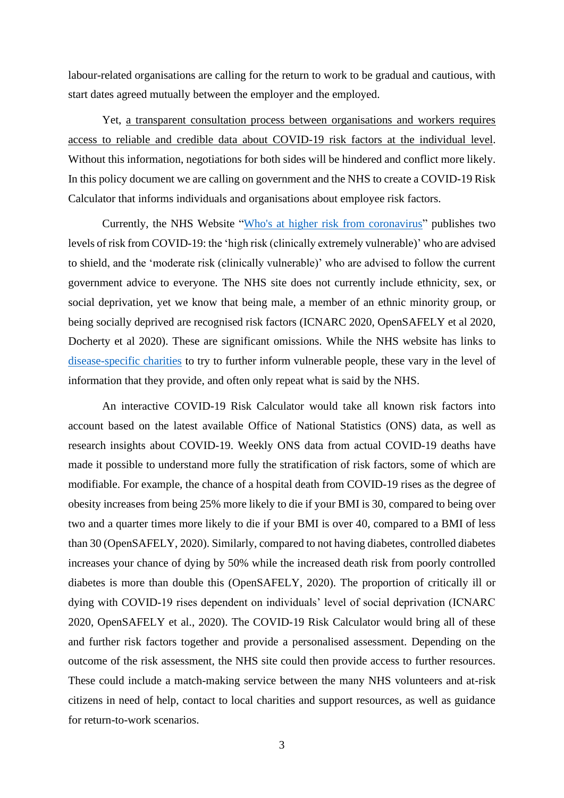labour-related organisations are calling for the return to work to be gradual and cautious, with start dates agreed mutually between the employer and the employed.

Yet, a transparent consultation process between organisations and workers requires access to reliable and credible data about COVID-19 risk factors at the individual level. Without this information, negotiations for both sides will be hindered and conflict more likely. In this policy document we are calling on government and the NHS to create a COVID-19 Risk Calculator that informs individuals and organisations about employee risk factors.

Currently, the NHS Website ["Who's at higher risk from coronavirus"](https://www.nhs.uk/conditions/coronavirus-covid-19/people-at-higher-risk-from-coronavirus/whos-at-higher-risk-from-coronavirus/) publishes two levels of risk from COVID-19: the 'high risk (clinically extremely vulnerable)' who are advised to shield, and the 'moderate risk (clinically vulnerable)' who are advised to follow the current government advice to everyone. The NHS site does not currently include ethnicity, sex, or social deprivation, yet we know that being male, a member of an ethnic minority group, or being socially deprived are recognised risk factors (ICNARC 2020, OpenSAFELY et al 2020, Docherty et al 2020). These are significant omissions. While the NHS website has links to [disease-specific charities](file:///C:/Users/amand/AppData/Local/Microsoft/Windows/INetCache/Content.Outlook/MJSCK355/(https:/www.nhs.uk/conditions/coronavirus-covid-19/people-at-higher-risk-from-coronavirus/advice-about-your-condition-and-coronavirus/) to try to further inform vulnerable people, these vary in the level of information that they provide, and often only repeat what is said by the NHS.

An interactive COVID-19 Risk Calculator would take all known risk factors into account based on the latest available Office of National Statistics (ONS) data, as well as research insights about COVID-19. Weekly ONS data from actual COVID-19 deaths have made it possible to understand more fully the stratification of risk factors, some of which are modifiable. For example, the chance of a hospital death from COVID-19 rises as the degree of obesity increases from being 25% more likely to die if your BMI is 30, compared to being over two and a quarter times more likely to die if your BMI is over 40, compared to a BMI of less than 30 (OpenSAFELY, 2020). Similarly, compared to not having diabetes, controlled diabetes increases your chance of dying by 50% while the increased death risk from poorly controlled diabetes is more than double this (OpenSAFELY, 2020). The proportion of critically ill or dying with COVID-19 rises dependent on individuals' level of social deprivation (ICNARC 2020, OpenSAFELY et al., 2020). The COVID-19 Risk Calculator would bring all of these and further risk factors together and provide a personalised assessment. Depending on the outcome of the risk assessment, the NHS site could then provide access to further resources. These could include a match-making service between the many NHS volunteers and at-risk citizens in need of help, contact to local charities and support resources, as well as guidance for return-to-work scenarios.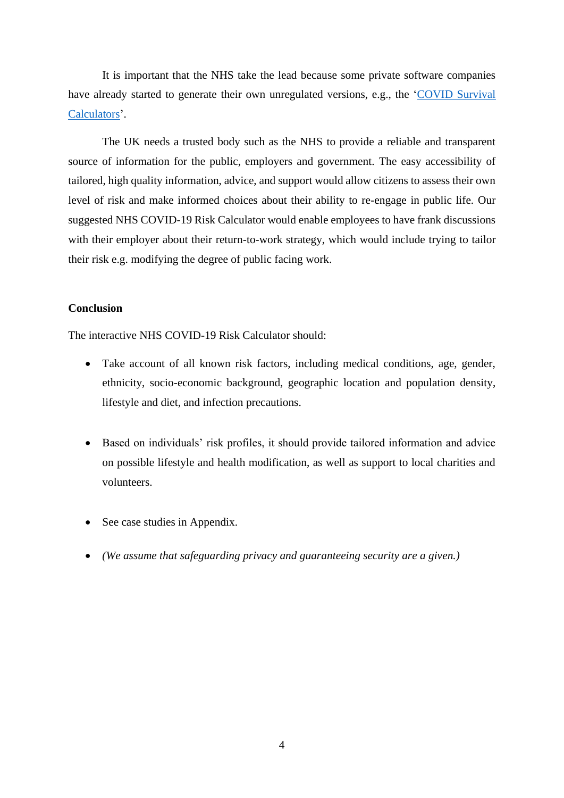It is important that the NHS take the lead because some private software companies have already started to generate their own unregulated versions, e.g., the ['COVID Survival](https://www.covid19survivalcalculator.com/en/calculator)  [Calculators'](https://www.covid19survivalcalculator.com/en/calculator).

The UK needs a trusted body such as the NHS to provide a reliable and transparent source of information for the public, employers and government. The easy accessibility of tailored, high quality information, advice, and support would allow citizens to assess their own level of risk and make informed choices about their ability to re-engage in public life. Our suggested NHS COVID-19 Risk Calculator would enable employees to have frank discussions with their employer about their return-to-work strategy, which would include trying to tailor their risk e.g. modifying the degree of public facing work.

#### **Conclusion**

The interactive NHS COVID-19 Risk Calculator should:

- Take account of all known risk factors, including medical conditions, age, gender, ethnicity, socio-economic background, geographic location and population density, lifestyle and diet, and infection precautions.
- Based on individuals' risk profiles, it should provide tailored information and advice on possible lifestyle and health modification, as well as support to local charities and volunteers.
- See case studies in Appendix.
- *(We assume that safeguarding privacy and guaranteeing security are a given.)*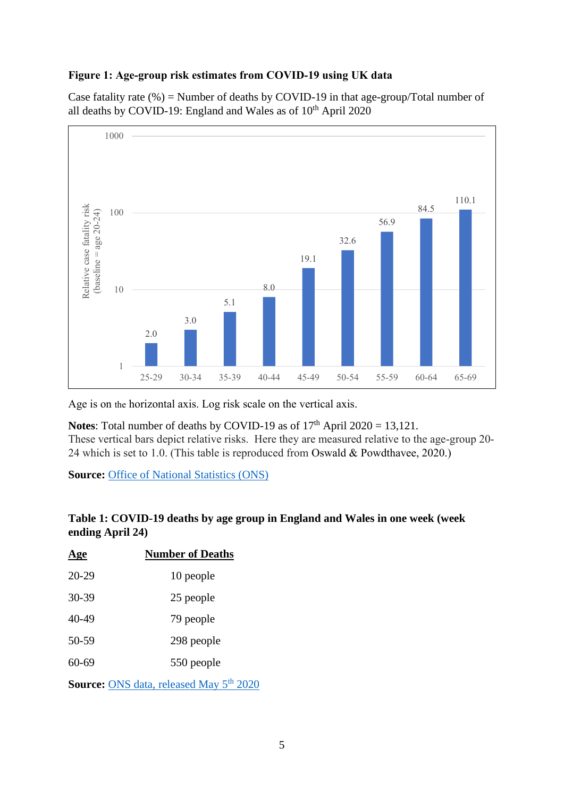## **Figure 1: Age-group risk estimates from COVID-19 using UK data**

Case fatality rate  $(\%)$  = Number of deaths by COVID-19 in that age-group/Total number of all deaths by COVID-19: England and Wales as of  $10<sup>th</sup>$  April 2020



Age is on the horizontal axis. Log risk scale on the vertical axis.

**Notes:** Total number of deaths by COVID-19 as of  $17<sup>th</sup>$  April 2020 = 13,121. These vertical bars depict relative risks. Here they are measured relative to the age-group 20- 24 which is set to 1.0. (This table is reproduced from Oswald & Powdthavee, 2020.)

**Source:** [Office of National Statistics \(ONS\)](https://www.ons.gov.uk/peoplepopulationandcommunity/birthsdeathsandmarriages/deaths/datasets/weeklyprovisionalfiguresondeathsregisteredinenglandandwales)

### **Table 1: COVID-19 deaths by age group in England and Wales in one week (week ending April 24)**

| <u>Age</u> | <b>Number of Deaths</b>                                    |
|------------|------------------------------------------------------------|
| 20-29      | 10 people                                                  |
| 30-39      | 25 people                                                  |
| 40-49      | 79 people                                                  |
| 50-59      | 298 people                                                 |
| $60 - 69$  | 550 people                                                 |
|            | <b>Source:</b> ONS data, released May 5 <sup>th</sup> 2020 |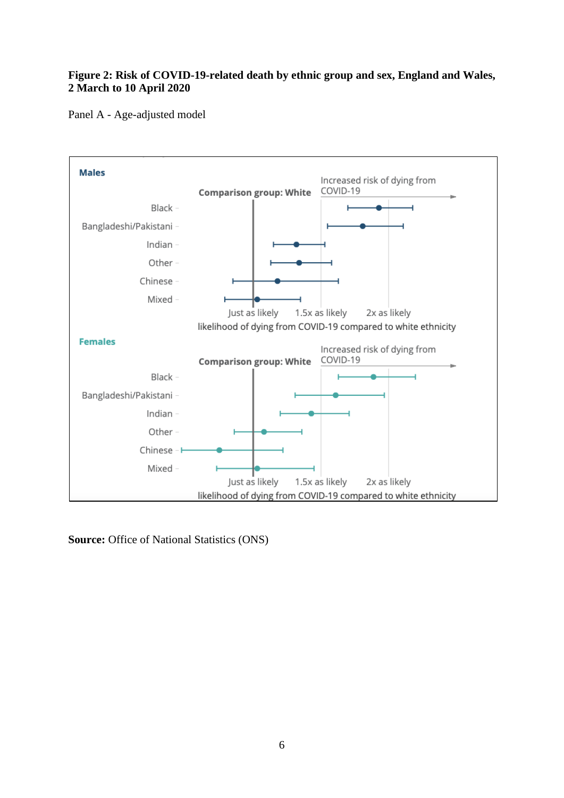### **Figure 2: Risk of COVID-19-related death by ethnic group and sex, England and Wales, 2 March to 10 April 2020**

Panel A - Age-adjusted model



**Source:** Office of National Statistics (ONS)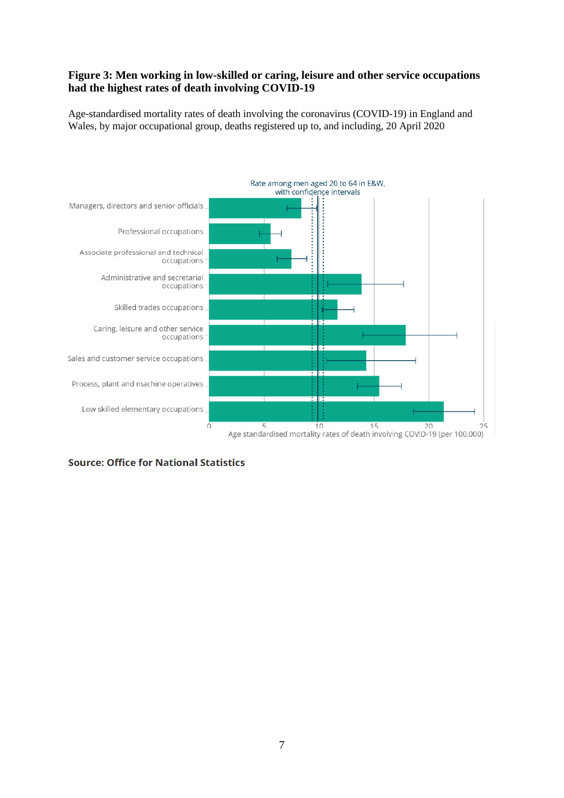### **Figure 3: Men working in low-skilled or caring, leisure and other service occupations had the highest rates of death involving COVID-19**

Age-standardised mortality rates of death involving the coronavirus (COVID-19) in England and Wales, by major occupational group, deaths registered up to, and including, 20 April 2020



**Source: Office for National Statistics**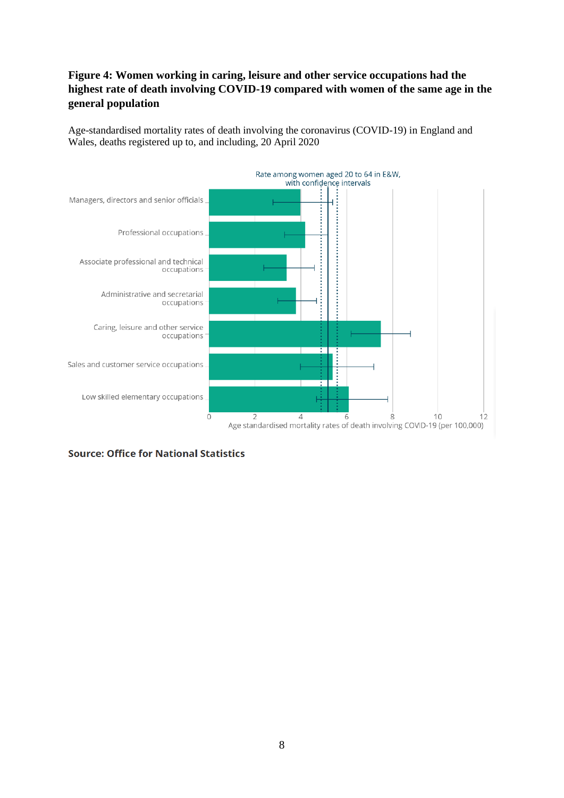## **Figure 4: Women working in caring, leisure and other service occupations had the highest rate of death involving COVID-19 compared with women of the same age in the general population**

Age-standardised mortality rates of death involving the coronavirus (COVID-19) in England and Wales, deaths registered up to, and including, 20 April 2020



**Source: Office for National Statistics**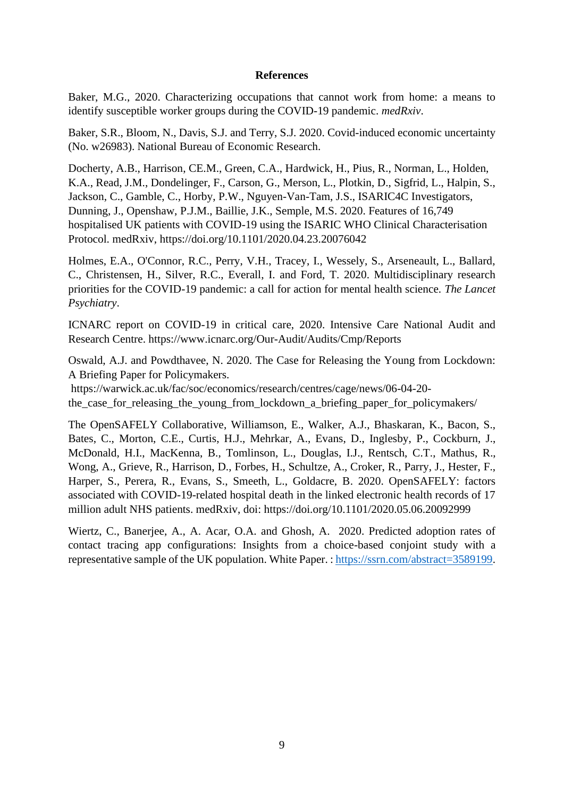#### **References**

Baker, M.G., 2020. Characterizing occupations that cannot work from home: a means to identify susceptible worker groups during the COVID-19 pandemic. *medRxiv*.

Baker, S.R., Bloom, N., Davis, S.J. and Terry, S.J. 2020. Covid-induced economic uncertainty (No. w26983). National Bureau of Economic Research.

Docherty, A.B., Harrison, CE.M., Green, C.A., Hardwick, H., Pius, R., Norman, L., Holden, K.A., Read, J.M., Dondelinger, F., Carson, G., Merson, L., Plotkin, D., Sigfrid, L., Halpin, S., Jackson, C., Gamble, C., Horby, P.W., Nguyen-Van-Tam, J.S., ISARIC4C Investigators, Dunning, J., Openshaw, P.J.M., Baillie, J.K., Semple, M.S. 2020. Features of 16,749 hospitalised UK patients with COVID-19 using the ISARIC WHO Clinical Characterisation Protocol. medRxiv, https://doi.org/10.1101/2020.04.23.20076042

Holmes, E.A., O'Connor, R.C., Perry, V.H., Tracey, I., Wessely, S., Arseneault, L., Ballard, C., Christensen, H., Silver, R.C., Everall, I. and Ford, T. 2020. Multidisciplinary research priorities for the COVID-19 pandemic: a call for action for mental health science. *The Lancet Psychiatry*.

ICNARC report on COVID-19 in critical care, 2020. Intensive Care National Audit and Research Centre. https://www.icnarc.org/Our-Audit/Audits/Cmp/Reports

Oswald, A.J. and Powdthavee, N. 2020. The Case for Releasing the Young from Lockdown: A Briefing Paper for Policymakers.

https://warwick.ac.uk/fac/soc/economics/research/centres/cage/news/06-04-20-

the\_case\_for\_releasing\_the\_young\_from\_lockdown\_a\_briefing\_paper\_for\_policymakers/

The OpenSAFELY Collaborative, Williamson, E., Walker, A.J., Bhaskaran, K., Bacon, S., Bates, C., Morton, C.E., Curtis, H.J., Mehrkar, A., Evans, D., Inglesby, P., Cockburn, J., McDonald, H.I., MacKenna, B., Tomlinson, L., Douglas, I.J., Rentsch, C.T., Mathus, R., Wong, A., Grieve, R., Harrison, D., Forbes, H., Schultze, A., Croker, R., Parry, J., Hester, F., Harper, S., Perera, R., Evans, S., Smeeth, L., Goldacre, B. 2020. OpenSAFELY: factors associated with COVID-19-related hospital death in the linked electronic health records of 17 million adult NHS patients. medRxiv, doi: https://doi.org/10.1101/2020.05.06.20092999

Wiertz, C., Banerjee, A., A. Acar, O.A. and Ghosh, A. 2020. Predicted adoption rates of contact tracing app configurations: Insights from a choice-based conjoint study with a representative sample of the UK population. White Paper. [: https://ssrn.com/abstract=3589199.](https://ssrn.com/abstract=3589199)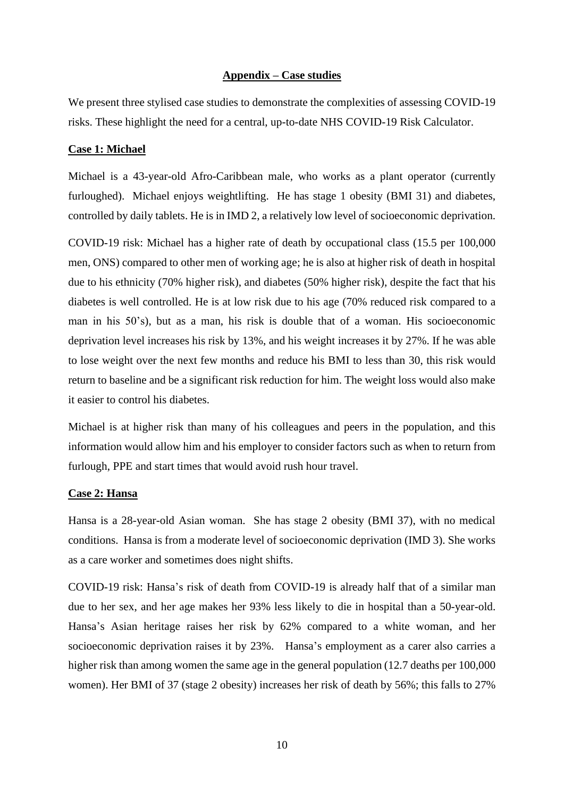### **Appendix – Case studies**

We present three stylised case studies to demonstrate the complexities of assessing COVID-19 risks. These highlight the need for a central, up-to-date NHS COVID-19 Risk Calculator.

#### **Case 1: Michael**

Michael is a 43-year-old Afro-Caribbean male, who works as a plant operator (currently furloughed). Michael enjoys weightlifting. He has stage 1 obesity (BMI 31) and diabetes, controlled by daily tablets. He is in IMD 2, a relatively low level of socioeconomic deprivation.

COVID-19 risk: Michael has a higher rate of death by occupational class (15.5 per 100,000 men, ONS) compared to other men of working age; he is also at higher risk of death in hospital due to his ethnicity (70% higher risk), and diabetes (50% higher risk), despite the fact that his diabetes is well controlled. He is at low risk due to his age (70% reduced risk compared to a man in his 50's), but as a man, his risk is double that of a woman. His socioeconomic deprivation level increases his risk by 13%, and his weight increases it by 27%. If he was able to lose weight over the next few months and reduce his BMI to less than 30, this risk would return to baseline and be a significant risk reduction for him. The weight loss would also make it easier to control his diabetes.

Michael is at higher risk than many of his colleagues and peers in the population, and this information would allow him and his employer to consider factors such as when to return from furlough, PPE and start times that would avoid rush hour travel.

#### **Case 2: Hansa**

Hansa is a 28-year-old Asian woman. She has stage 2 obesity (BMI 37), with no medical conditions. Hansa is from a moderate level of socioeconomic deprivation (IMD 3). She works as a care worker and sometimes does night shifts.

COVID-19 risk: Hansa's risk of death from COVID-19 is already half that of a similar man due to her sex, and her age makes her 93% less likely to die in hospital than a 50-year-old. Hansa's Asian heritage raises her risk by 62% compared to a white woman, and her socioeconomic deprivation raises it by 23%. Hansa's employment as a carer also carries a higher risk than among women the same age in the general population (12.7 deaths per 100,000 women). Her BMI of 37 (stage 2 obesity) increases her risk of death by 56%; this falls to 27%